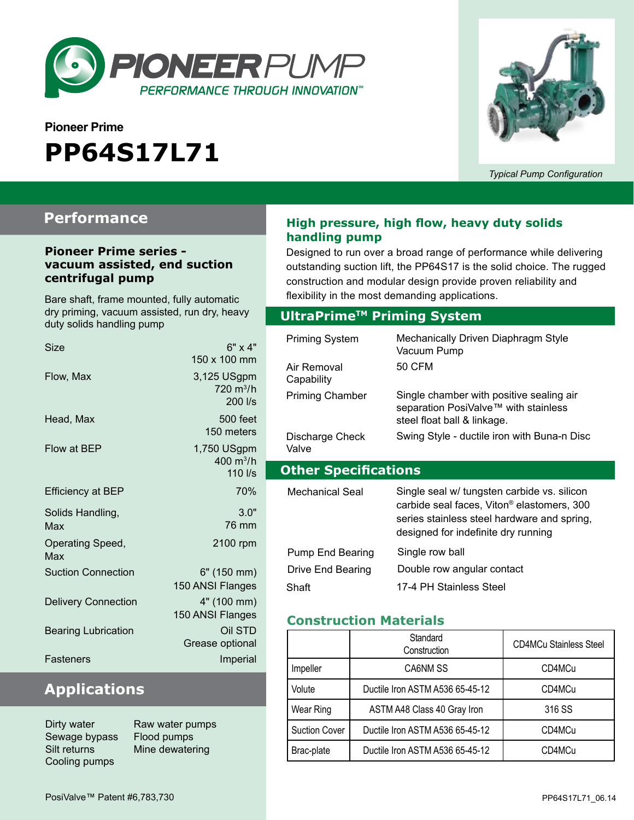

# **Pioneer Prime PP64S17L71**



*Typical Pump Configuration*

## **Performance**

#### **Pioneer Prime series vacuum assisted, end suction centrifugal pump**

Bare shaft, frame mounted, fully automatic dry priming, vacuum assisted, run dry, heavy duty solids handling pump

| Size                       | $6" \times 4"$<br>150 x 100 mm                  |
|----------------------------|-------------------------------------------------|
| Flow, Max                  | 3,125 USgpm<br>720 m <sup>3</sup> /h<br>200 l/s |
| Head, Max                  | 500 feet<br>150 meters                          |
| Flow at BEP                | 1,750 USgpm<br>400 $m^3/h$<br>110 l/s           |
| <b>Efficiency at BEP</b>   | 70%                                             |
| Solids Handling,<br>Max    | 3.0"<br>76 mm                                   |
| Operating Speed,<br>Max    | 2100 rpm                                        |
| <b>Suction Connection</b>  | 6" (150 mm)<br>150 ANSI Flanges                 |
| <b>Delivery Connection</b> | 4" (100 mm)<br>150 ANSI Flanges                 |
| <b>Bearing Lubrication</b> | Oil STD<br>Grease optional                      |
| Fasteners                  | Imperial                                        |

## **Applications**

Dirty water **Raw water pumps** Sewage bypass Flood pumps Cooling pumps

Silt returns Mine dewatering

## **High pressure, high flow, heavy duty solids handling pump**

Designed to run over a broad range of performance while delivering outstanding suction lift, the PP64S17 is the solid choice. The rugged construction and modular design provide proven reliability and flexibility in the most demanding applications.

### **Optional Priming System UltraPrimeTM Priming System**

| Priming System<br>Air Removal | Mechanically Driven Diaphragm Style<br>Vacuum Pump<br>50 CFM                                                                                                                                |
|-------------------------------|---------------------------------------------------------------------------------------------------------------------------------------------------------------------------------------------|
| Capability                    |                                                                                                                                                                                             |
| <b>Priming Chamber</b>        | Single chamber with positive sealing air<br>separation PosiValve™ with stainless<br>steel float ball & linkage.                                                                             |
| Discharge Check<br>Valve      | Swing Style - ductile iron with Buna-n Disc                                                                                                                                                 |
|                               |                                                                                                                                                                                             |
| <b>Other Specifications</b>   |                                                                                                                                                                                             |
| Mechanical Seal               | Single seal w/ tungsten carbide vs. silicon<br>carbide seal faces, Viton <sup>®</sup> elastomers, 300<br>series stainless steel hardware and spring,<br>designed for indefinite dry running |
| Pump End Bearing              | Single row ball                                                                                                                                                                             |
| Drive End Bearing             | Double row angular contact                                                                                                                                                                  |

#### **Construction Materials**

|                      | Standard<br>Construction        | <b>CD4MCu Stainless Steel</b> |
|----------------------|---------------------------------|-------------------------------|
| Impeller             | CA6NM SS                        | CD4MCu                        |
| Volute               | Ductile Iron ASTM A536 65-45-12 | CD4MCu                        |
| Wear Ring            | ASTM A48 Class 40 Gray Iron     | 316 SS                        |
| <b>Suction Cover</b> | Ductile Iron ASTM A536 65-45-12 | CD4MCu                        |
| Brac-plate           | Ductile Iron ASTM A536 65-45-12 | CD4MCu                        |